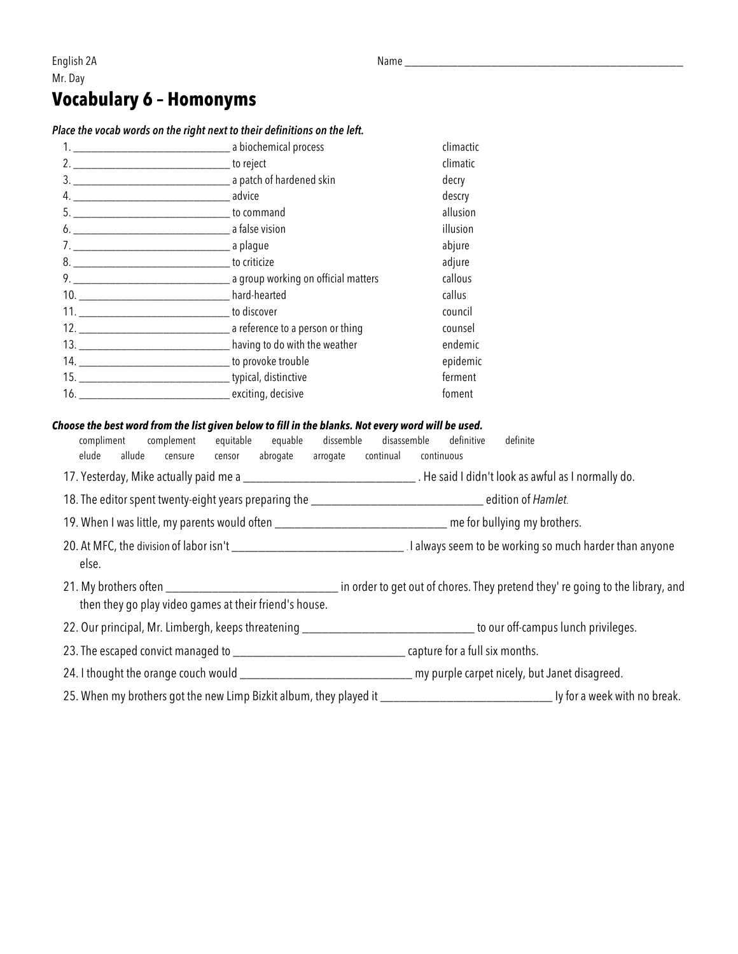### English 2A Name \_\_\_\_\_\_\_\_\_\_\_\_\_\_\_\_\_\_\_\_\_\_\_\_\_\_\_\_\_\_\_\_\_\_\_\_\_\_\_\_\_\_ Mr. Day

## **Vocabulary 6 – Homonyms**

#### *Place the vocab words on the right next to their definitions on the left.*

| climatic<br>decry<br>descry<br>allusion<br>illusion<br>abjure<br>adjure<br>callous<br>callus<br>council<br>counsel<br>13. ___________________________________ having to do with the weather<br>ferment<br>foment |  | climactic |
|------------------------------------------------------------------------------------------------------------------------------------------------------------------------------------------------------------------|--|-----------|
|                                                                                                                                                                                                                  |  |           |
|                                                                                                                                                                                                                  |  |           |
|                                                                                                                                                                                                                  |  |           |
|                                                                                                                                                                                                                  |  |           |
|                                                                                                                                                                                                                  |  |           |
|                                                                                                                                                                                                                  |  |           |
|                                                                                                                                                                                                                  |  |           |
|                                                                                                                                                                                                                  |  |           |
|                                                                                                                                                                                                                  |  |           |
|                                                                                                                                                                                                                  |  |           |
|                                                                                                                                                                                                                  |  |           |
|                                                                                                                                                                                                                  |  | endemic   |
|                                                                                                                                                                                                                  |  | epidemic  |
|                                                                                                                                                                                                                  |  |           |
|                                                                                                                                                                                                                  |  |           |

#### *Choose the best word from the list given below to fill in the blanks. Not every word will be used.*

compliment complement equitable equable dissemble disassemble definitive definite elude allude censure censor abrogate arrogate continual continuous 17. Yesterday, Mike actually paid me a \_\_\_\_\_\_\_\_\_\_\_\_\_\_\_\_\_\_\_\_\_\_\_\_\_\_ . He said I didn't look as awful as I normally do. 18. The editor spent twenty-eight years preparing the \_\_\_\_\_\_\_\_\_\_\_\_\_\_\_\_\_\_\_\_\_\_\_\_\_\_ edition of *Hamlet.* 19. When I was little, my parents would often \_\_\_\_\_\_\_\_\_\_\_\_\_\_\_\_\_\_\_\_\_\_\_\_\_\_ me for bullying my brothers. 20. At MFC, the division of labor isn't 20. At MFC, the division of labor isn't else. 21. My brothers often \_\_\_\_\_\_\_\_\_\_\_\_\_\_\_\_\_\_\_\_\_\_\_\_\_\_\_\_\_\_\_\_\_\_\_ in order to get out of chores. They pretend they' re going to the library, and then they go play video games at their friend's house. 22. Our principal, Mr. Limbergh, keeps threatening \_\_\_\_\_\_\_\_\_\_\_\_\_\_\_\_\_\_\_\_\_\_\_\_\_\_\_\_\_\_\_\_\_\_ to our off-campus lunch privileges. 23. The escaped convict managed to \_\_\_\_\_\_\_\_\_\_\_\_\_\_\_\_\_\_\_\_\_\_\_\_\_\_ capture for a full six months. 24. I thought the orange couch would \_\_\_\_\_\_\_\_\_\_\_\_\_\_\_\_\_\_\_\_\_\_\_\_\_\_\_\_\_\_\_\_\_\_ my purple carpet nicely, but Janet disagreed. 25. When my brothers got the new Limp Bizkit album, they played it \_\_\_\_\_\_\_\_\_\_\_\_\_\_\_\_\_\_\_\_\_\_\_\_\_\_ Iy for a week with no break.